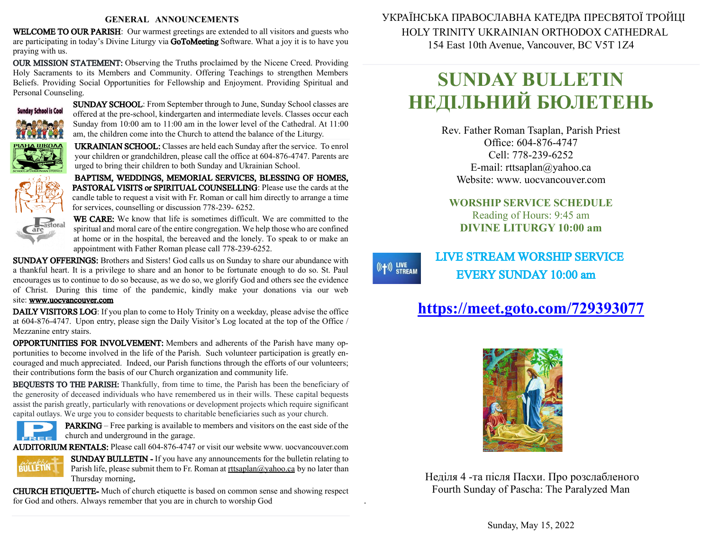#### **GENERAL ANNOUNCEMENTS**

WELCOME TO OUR PARISH: Our warmest greetings are extended to all visitors and guests who are participating in today's Divine Liturgy via GoToMeeting Software. What a joy it is to have you praying with us.

OUR MISSION STATEMENT: Observing the Truths proclaimed by the Nicene Creed. Providing Holy Sacraments to its Members and Community. Offering Teachings to strengthen Members Beliefs. Providing Social Opportunities for Fellowship and Enjoyment. Providing Spiritual and Personal Counseling.



SUNDAY SCHOOL: From September through to June, Sunday School classes are offered at the pre-school, kindergarten and intermediate levels. Classes occur each Sunday from 10:00 am to 11:00 am in the lower level of the Cathedral. At 11:00 am, the children come into the Church to attend the balance of the Liturgy.

UKRAINIAN SCHOOL: Classes are held each Sunday after the service. To enrol your children or grandchildren, please call the office at 604-876-4747. Parents are urged to bring their children to both Sunday and Ukrainian School.

BAPTISM, WEDDINGS, MEMORIAL SERVICES, BLESSING OF HOMES, PASTORAL VISITS or SPIRITUAL COUNSELLING: Please use the cards at the candle table to request a visit with Fr. Roman or call him directly to arrange a time for services, counselling or discussion 778-239- 6252.



WE CARE: We know that life is sometimes difficult. We are committed to the spiritual and moral care of the entire congregation. We help those who are confined at home or in the hospital, the bereaved and the lonely. To speak to or make an appointment with Father Roman please call 778-239-6252.

SUNDAY OFFERINGS: Brothers and Sisters! God calls us on Sunday to share our abundance with a thankful heart. It is a privilege to share and an honor to be fortunate enough to do so. St. Paul encourages us to continue to do sobecause, as we do so, we glorify God and others see the evidence of Christ. During this time of the pandemic, kindly make your donations via our web site: [www.uocvancouver.com](http://www.uocvancouver.com/) 

DAILY VISITORS LOG: If you plan to come to Holy Trinity on a weekday, please advise the office at 604-876-4747. Upon entry, please sign the Daily Visitor's Log located at the top of the Office / Mezzanine entry stairs.

OPPORTUNITIES FOR INVOLVEMENT: Members and adherents of the Parish have many opportunities to become involved in the life of the Parish. Such volunteer participation is greatly encouraged and much appreciated. Indeed, our Parish functions through the efforts of our volunteers; their contributions form the basis of our Church organization and community life.

BEQUESTS TO THE PARISH: Thankfully, from time to time, the Parish has been the beneficiary of the generosity of deceased individuals who have remembered us in their wills. These capital bequests assist the parish greatly, particularly with renovations or development projects which require significant capital outlays. We urge you to consider bequests to charitable beneficiaries such as your church.



PARKING –Free parking is available to members and visitors on the east side of the  $\epsilon$  church and underground in the garage.

AUDITORIUM RENTALS: Please call 604-876-4747 or visit our website www. uocvancouver.com



SUNDAY BULLETIN - If you have any announcements for the bulletin relating to Parish life, please submit them to Fr. Roman at  $rtt \frac{\partial y}{\partial x}$  and  $\frac{\partial y}{\partial y}$  and later than Thursday morning.

.

 $((+))$  LIVE<br>STREAM

CHURCH ETIQUETTE- Much of church etiquette is based on common sense and showing respect for God and others. Always remember that you are in church to worship God

 УКРАЇНСЬКА ПРАВОСЛАВНА КАТЕДРА ПРЕСВЯТОЇ ТРОЙЦІ HOLY TRINITY UKRAINIAN ORTHODOX CATHEDRAL 154 East 10th Avenue, Vancouver, BC V5T 1Z4

# **SUNDAY BULLETIN НЕДІЛЬНИЙ БЮЛЕТЕНЬ**

Rev. Father Roman Tsaplan, Parish Priest Office: 604-876-4747 Cell: 778-239-6252 E-mail: rttsaplan@yahoo.ca Website: www. uocvancouver.com

### **WORSHIP SERVICE SCHEDULE** Reading of Hours: 9:45 am **DIVINE LITURGY 10:00 am**

## LIVE STREAM WORSHIP SERVICE EVERY SUNDAY 10:00 am

## **<https://meet.goto.com/729393077>**



Неділя 4 -та після Пасхи. Про розслабленого Fourth Sunday of Pascha: The Paralyzed Man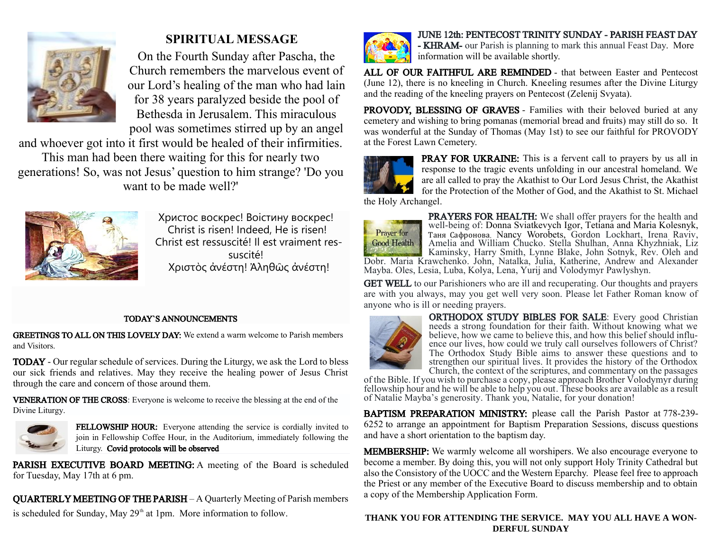

## **SPIRITUAL MESSAGE**

On the Fourth Sunday after Pascha, the Church remembers the marvelous event of our Lord's healing of the man who had lain for 38 years paralyzed beside the pool of Bethesda in Jerusalem. This miraculous pool was sometimes stirred up by an angel

and whoever got into it first would be healed of their infirmities.

This man had been there waiting for this for nearly two generations! So, was not Jesus' question to him strange? 'Do you want to be made well?'



Христос воскрес! Воістину воскрес! Christ is risen! Indeed, He is risen! Christ est ressuscité! Il est vraiment ressuscité! Χριστὸς ἀνέστη! Ἀληθῶς ἀνέστη!

### TODAY`S ANNOUNCEMENTS

GREETINGS TO ALL ON THIS LOVELY DAY: We extend a warm welcome to Parish members and Visitors.

TODAY - Our regular schedule of services. During the Liturgy, we ask the Lord to bless our sick friends and relatives. May they receive the healing power of Jesus Christ through the care and concern of those around them.

VENERATION OF THE CROSS: Everyone is welcome to receive the blessing at the end of the Divine Liturgy.



FELLOWSHIP HOUR: Everyone attending the service is cordially invited to join in Fellowship Coffee Hour, in the Auditorium, immediately following the Liturgy. Covid protocols will be observed

PARISH EXECUTIVE BOARD MEETING: A meeting of the Board is scheduled for Tuesday, May 17th at 6 pm.

QUARTERLY MEETING OF THE PARISH – A Quarterly Meeting of Parish members is scheduled for Sunday, May  $29<sup>th</sup>$  at 1pm. More information to follow.



JUNE 12th: PENTECOST TRINITY SUNDAY - PARISH FEAST DAY - KHRAM- our Parish is planning to mark this annual Feast Day. More information will be available shortly.

ALL OF OUR FAITHFUL ARE REMINDED - that between Easter and Pentecost (June 12), there is no kneeling in Church. Kneeling resumes after the Divine Liturgy and the reading of the kneeling prayers on Pentecost (Zelenij Svyata).

PROVODY, BLESSING OF GRAVES - Families with their beloved buried at any cemetery and wishing to bring pomanas (memorial bread and fruits) may still do so. It was wonderful at the Sunday of Thomas (May 1st) to see our faithful for PROVODY at the Forest Lawn Cemetery.



PRAY FOR UKRAINE: This is a fervent call to prayers by us all in response to the tragic events unfolding in our ancestral homeland. We are all called to pray the Akathist to Our Lord Jesus Christ, the Akathist for the Protection of the Mother of God, and the Akathist to St. Michael

the Holy Archangel.



PRAYERS FOR HEALTH: We shall offer prayers for the health and well-being of: Donna Sviatkevych Igor, Tetiana and Maria Kolesnyk, Таня Сафронова, Nancy Worobets, Gordon Lockhart, Irena Raviv, Amelia and William Chucko. Stella Shulhan, Anna Khyzhniak, Liz Kaminsky, Harry Smith, Lynne Blake, John Sotnyk, Rev. Oleh and Dobr. Maria Krawchenko. John, Natalka, Julia, Katherine, Andrew and Alexander

Mayba. Oles, Lesia, Luba, Kolya, Lena, Yurij and Volodymyr Pawlyshyn.

GET WELL to our Parishioners who are ill and recuperating. Our thoughts and prayers are with you always, may you get well very soon. Please let Father Roman know of anyone who is ill or needing prayers.



ORTHODOX STUDY BIBLES FOR SALE: Every good Christian needs a strong foundation for their faith. Without knowing what we believe, how we came to believe this, and how this belief should influence our lives, how could we truly call ourselves followers of Christ? The Orthodox Study Bible aims to answer these questions and to strengthen our spiritual lives. It provides the history of the Orthodox Church, the context of the scriptures, and commentary on the passages

of the Bible. If you wish to purchase a copy, please approach Brother  $\overline{V}$ olodymyr during fellowship hour and he will be able to help you out. These books are available as a result of Natalie Mayba's generosity. Thank you, Natalie, for your donation!

BAPTISM PREPARATION MINISTRY: please call the Parish Pastor at 778-239- 6252 to arrange an appointment for Baptism Preparation Sessions, discuss questions and have a short orientation to the baptism day.

MEMBERSHIP: We warmly welcome all worshipers. We also encourage everyone to become a member. By doing this, you will not only support Holy Trinity Cathedral but also the Consistory of the UOCC and the Western Eparchy. Please feel free to approach the Priest or any member of the Executive Board to discuss membership and to obtain a copy of the Membership Application Form.

### **THANK YOU FOR ATTENDING THE SERVICE. MAY YOU ALL HAVE A WON-DERFUL SUNDAY**